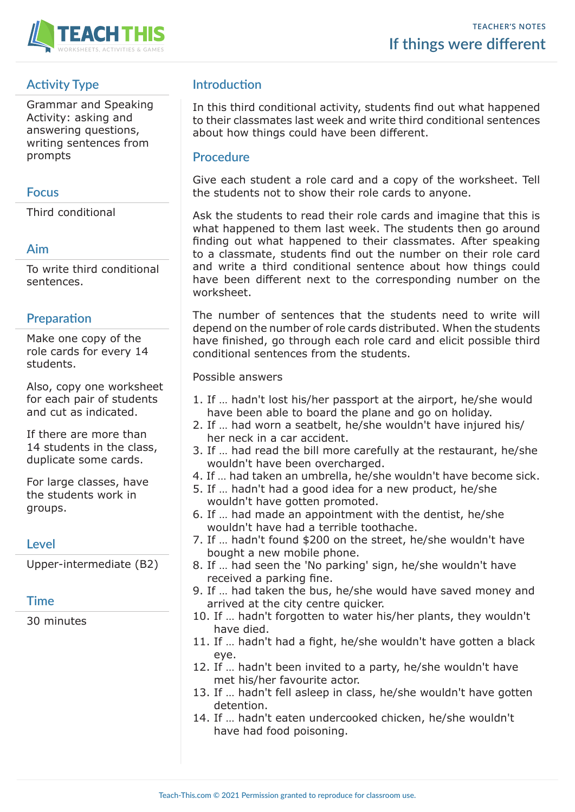

# **Activity Type**

Grammar and Speaking Activity: asking and answering questions, writing sentences from prompts

## **Focus**

Third conditional

## **Aim**

To write third conditional sentences.

# **Preparation**

Make one copy of the role cards for every 14 students.

Also, copy one worksheet for each pair of students and cut as indicated.

If there are more than 14 students in the class, duplicate some cards.

For large classes, have the students work in groups.

#### **Level**

Upper-intermediate (B2)

# **Time**

30 minutes

# **Introduction**

In this third conditional activity, students find out what happened to their classmates last week and write third conditional sentences about how things could have been different.

### **Procedure**

Give each student a role card and a copy of the worksheet. Tell the students not to show their role cards to anyone.

Ask the students to read their role cards and imagine that this is what happened to them last week. The students then go around finding out what happened to their classmates. After speaking to a classmate, students find out the number on their role card and write a third conditional sentence about how things could have been different next to the corresponding number on the worksheet.

The number of sentences that the students need to write will depend on the number of role cards distributed. When the students have finished, go through each role card and elicit possible third conditional sentences from the students.

Possible answers

- 1. If … hadn't lost his/her passport at the airport, he/she would have been able to board the plane and go on holiday.
- 2. If … had worn a seatbelt, he/she wouldn't have injured his/ her neck in a car accident.
- 3. If … had read the bill more carefully at the restaurant, he/she wouldn't have been overcharged.
- 4. If … had taken an umbrella, he/she wouldn't have become sick.
- 5. If … hadn't had a good idea for a new product, he/she wouldn't have gotten promoted.
- 6. If … had made an appointment with the dentist, he/she wouldn't have had a terrible toothache.
- 7. If … hadn't found \$200 on the street, he/she wouldn't have bought a new mobile phone.
- 8. If … had seen the 'No parking' sign, he/she wouldn't have received a parking fine.
- 9. If … had taken the bus, he/she would have saved money and arrived at the city centre quicker.
- 10. If … hadn't forgotten to water his/her plants, they wouldn't have died.
- 11. If … hadn't had a fight, he/she wouldn't have gotten a black eye.
- 12. If … hadn't been invited to a party, he/she wouldn't have met his/her favourite actor.
- 13. If … hadn't fell asleep in class, he/she wouldn't have gotten detention.
- 14. If … hadn't eaten undercooked chicken, he/she wouldn't have had food poisoning.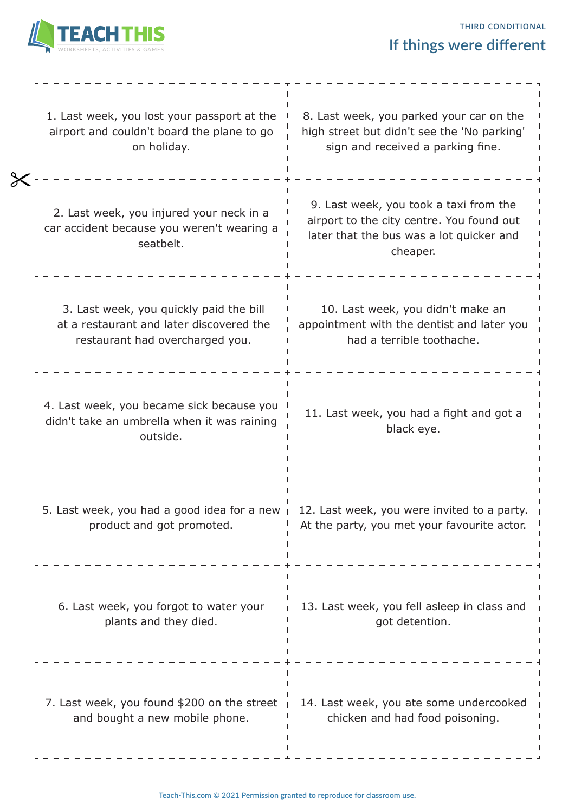

| 1. Last week, you lost your passport at the<br>airport and couldn't board the plane to go<br>on holiday.               | 8. Last week, you parked your car on the<br>high street but didn't see the 'No parking'<br>sign and received a parking fine.                |
|------------------------------------------------------------------------------------------------------------------------|---------------------------------------------------------------------------------------------------------------------------------------------|
| 2. Last week, you injured your neck in a<br>car accident because you weren't wearing a<br>seatbelt.                    | 9. Last week, you took a taxi from the<br>airport to the city centre. You found out<br>later that the bus was a lot quicker and<br>cheaper. |
| 3. Last week, you quickly paid the bill<br>at a restaurant and later discovered the<br>restaurant had overcharged you. | 10. Last week, you didn't make an<br>appointment with the dentist and later you<br>had a terrible toothache.                                |
| 4. Last week, you became sick because you<br>didn't take an umbrella when it was raining<br>outside.                   | 11. Last week, you had a fight and got a<br>black eye.                                                                                      |
| 5. Last week, you had a good idea for a new<br>product and got promoted.                                               | 12. Last week, you were invited to a party.<br>At the party, you met your favourite actor.                                                  |
| 6. Last week, you forgot to water your<br>plants and they died.                                                        | 13. Last week, you fell asleep in class and<br>got detention.                                                                               |
| 7. Last week, you found \$200 on the street<br>and bought a new mobile phone.                                          | 14. Last week, you ate some undercooked<br>chicken and had food poisoning.                                                                  |